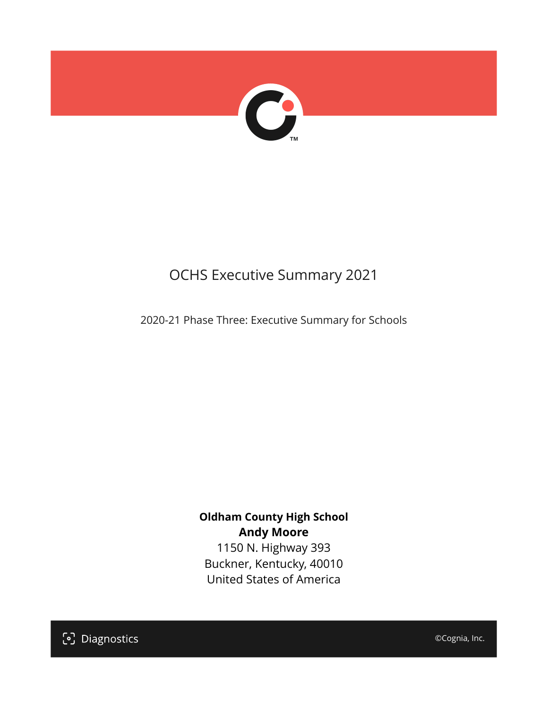

# OCHS Executive Summary 2021

2020-21 Phase Three: Executive Summary for Schools

### **Oldham County High School Andy Moore**

1150 N. Highway 393 Buckner, Kentucky, 40010 United States of America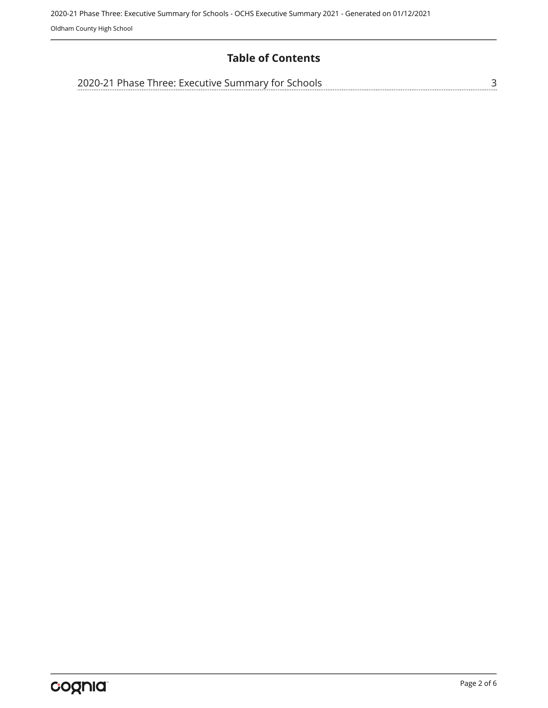#### **Table of Contents**

| 2020-21 Phase Three: Executive Summary for Schools |  |
|----------------------------------------------------|--|
|                                                    |  |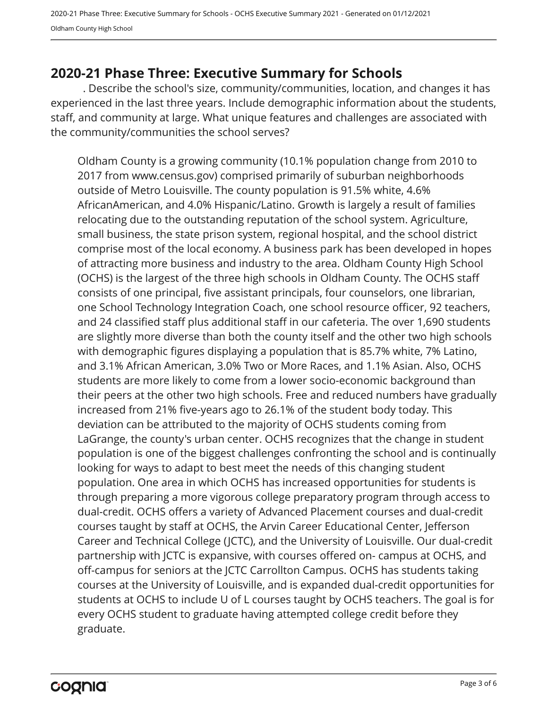## <span id="page-2-0"></span>**2020-21 Phase Three: Executive Summary for Schools**

. Describe the school's size, community/communities, location, and changes it has experienced in the last three years. Include demographic information about the students, staff, and community at large. What unique features and challenges are associated with the community/communities the school serves?

Oldham County is a growing community (10.1% population change from 2010 to 2017 from www.census.gov) comprised primarily of suburban neighborhoods outside of Metro Louisville. The county population is 91.5% white, 4.6% AfricanAmerican, and 4.0% Hispanic/Latino. Growth is largely a result of families relocating due to the outstanding reputation of the school system. Agriculture, small business, the state prison system, regional hospital, and the school district comprise most of the local economy. A business park has been developed in hopes of attracting more business and industry to the area. Oldham County High School (OCHS) is the largest of the three high schools in Oldham County. The OCHS staff consists of one principal, five assistant principals, four counselors, one librarian, one School Technology Integration Coach, one school resource officer, 92 teachers, and 24 classified staff plus additional staff in our cafeteria. The over 1,690 students are slightly more diverse than both the county itself and the other two high schools with demographic figures displaying a population that is 85.7% white, 7% Latino, and 3.1% African American, 3.0% Two or More Races, and 1.1% Asian. Also, OCHS students are more likely to come from a lower socio-economic background than their peers at the other two high schools. Free and reduced numbers have gradually increased from 21% five-years ago to 26.1% of the student body today. This deviation can be attributed to the majority of OCHS students coming from LaGrange, the county's urban center. OCHS recognizes that the change in student population is one of the biggest challenges confronting the school and is continually looking for ways to adapt to best meet the needs of this changing student population. One area in which OCHS has increased opportunities for students is through preparing a more vigorous college preparatory program through access to dual-credit. OCHS offers a variety of Advanced Placement courses and dual-credit courses taught by staff at OCHS, the Arvin Career Educational Center, Jefferson Career and Technical College (JCTC), and the University of Louisville. Our dual-credit partnership with JCTC is expansive, with courses offered on- campus at OCHS, and off-campus for seniors at the JCTC Carrollton Campus. OCHS has students taking courses at the University of Louisville, and is expanded dual-credit opportunities for students at OCHS to include U of L courses taught by OCHS teachers. The goal is for every OCHS student to graduate having attempted college credit before they graduate.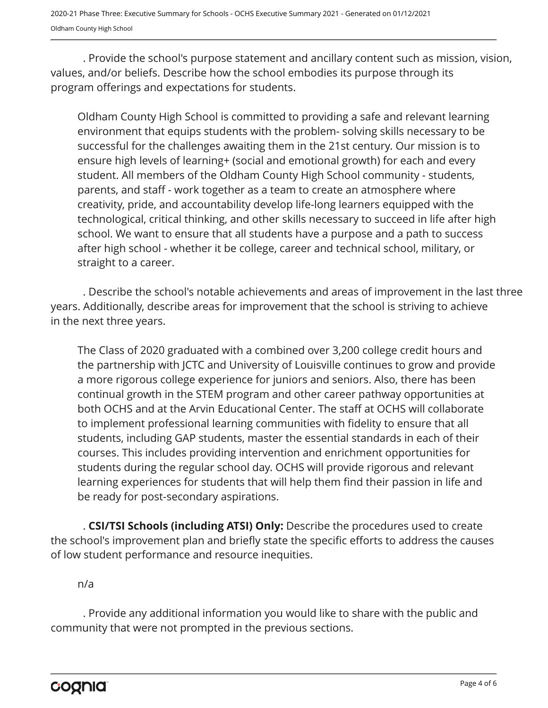2020-21 Phase Three: Executive Summary for Schools - OCHS Executive Summary 2021 - Generated on 01/12/2021 Oldham County High School

. Provide the school's purpose statement and ancillary content such as mission, vision, values, and/or beliefs. Describe how the school embodies its purpose through its program offerings and expectations for students.

Oldham County High School is committed to providing a safe and relevant learning environment that equips students with the problem- solving skills necessary to be successful for the challenges awaiting them in the 21st century. Our mission is to ensure high levels of learning+ (social and emotional growth) for each and every student. All members of the Oldham County High School community - students, parents, and staff - work together as a team to create an atmosphere where creativity, pride, and accountability develop life-long learners equipped with the technological, critical thinking, and other skills necessary to succeed in life after high school. We want to ensure that all students have a purpose and a path to success after high school - whether it be college, career and technical school, military, or straight to a career.

. Describe the school's notable achievements and areas of improvement in the last three years. Additionally, describe areas for improvement that the school is striving to achieve in the next three years.

The Class of 2020 graduated with a combined over 3,200 college credit hours and the partnership with JCTC and University of Louisville continues to grow and provide a more rigorous college experience for juniors and seniors. Also, there has been continual growth in the STEM program and other career pathway opportunities at both OCHS and at the Arvin Educational Center. The staff at OCHS will collaborate to implement professional learning communities with fidelity to ensure that all students, including GAP students, master the essential standards in each of their courses. This includes providing intervention and enrichment opportunities for students during the regular school day. OCHS will provide rigorous and relevant learning experiences for students that will help them find their passion in life and be ready for post-secondary aspirations.

. **CSI/TSI Schools (including ATSI) Only:** Describe the procedures used to create the school's improvement plan and briefly state the specific efforts to address the causes of low student performance and resource inequities.

n/a

. Provide any additional information you would like to share with the public and community that were not prompted in the previous sections.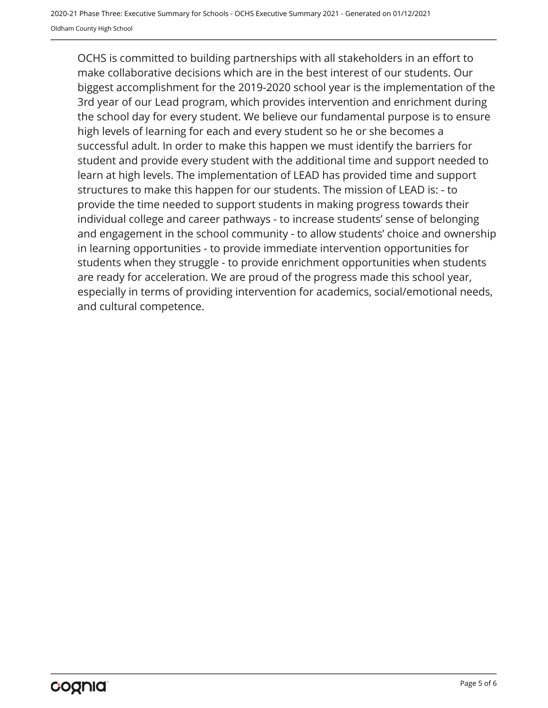OCHS is committed to building partnerships with all stakeholders in an effort to make collaborative decisions which are in the best interest of our students. Our biggest accomplishment for the 2019-2020 school year is the implementation of the 3rd year of our Lead program, which provides intervention and enrichment during the school day for every student. We believe our fundamental purpose is to ensure high levels of learning for each and every student so he or she becomes a successful adult. In order to make this happen we must identify the barriers for student and provide every student with the additional time and support needed to learn at high levels. The implementation of LEAD has provided time and support structures to make this happen for our students. The mission of LEAD is: - to provide the time needed to support students in making progress towards their individual college and career pathways - to increase students' sense of belonging and engagement in the school community - to allow students' choice and ownership in learning opportunities - to provide immediate intervention opportunities for students when they struggle - to provide enrichment opportunities when students are ready for acceleration. We are proud of the progress made this school year, especially in terms of providing intervention for academics, social/emotional needs, and cultural competence.